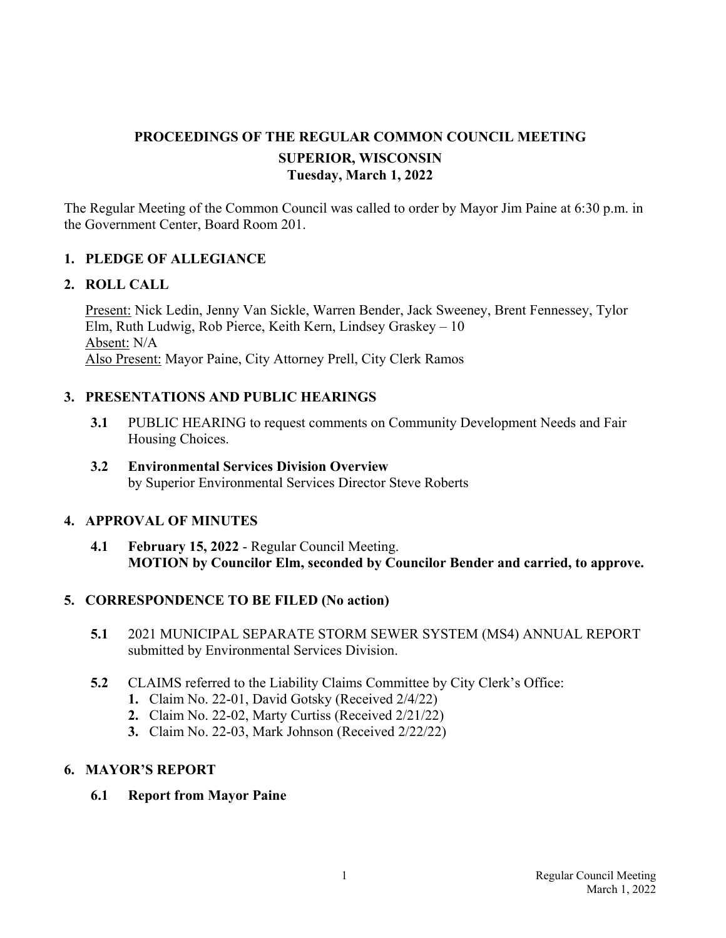# **PROCEEDINGS OF THE REGULAR COMMON COUNCIL MEETING SUPERIOR, WISCONSIN Tuesday, March 1, 2022**

The Regular Meeting of the Common Council was called to order by Mayor Jim Paine at 6:30 p.m. in the Government Center, Board Room 201.

## **1. PLEDGE OF ALLEGIANCE**

#### **2. ROLL CALL**

Present: Nick Ledin, Jenny Van Sickle, Warren Bender, Jack Sweeney, Brent Fennessey, Tylor Elm, Ruth Ludwig, Rob Pierce, Keith Kern, Lindsey Graskey – 10 Absent: N/A Also Present: Mayor Paine, City Attorney Prell, City Clerk Ramos

### **3. PRESENTATIONS AND PUBLIC HEARINGS**

- **3.1** PUBLIC HEARING to request comments on Community Development Needs and Fair Housing Choices.
- **3.2 Environmental Services Division Overview**  by Superior Environmental Services Director Steve Roberts

## **4. APPROVAL OF MINUTES**

**4.1 February 15, 2022** - Regular Council Meeting. **MOTION by Councilor Elm, seconded by Councilor Bender and carried, to approve.**

## **5. CORRESPONDENCE TO BE FILED (No action)**

- **5.1** 2021 MUNICIPAL SEPARATE STORM SEWER SYSTEM (MS4) ANNUAL REPORT submitted by Environmental Services Division.
- **5.2** CLAIMS referred to the Liability Claims Committee by City Clerk's Office:
	- **1.** Claim No. 22-01, David Gotsky (Received 2/4/22)
	- **2.** Claim No. 22-02, Marty Curtiss (Received 2/21/22)
	- **3.** Claim No. 22-03, Mark Johnson (Received 2/22/22)

## **6. MAYOR'S REPORT**

 **6.1 Report from Mayor Paine**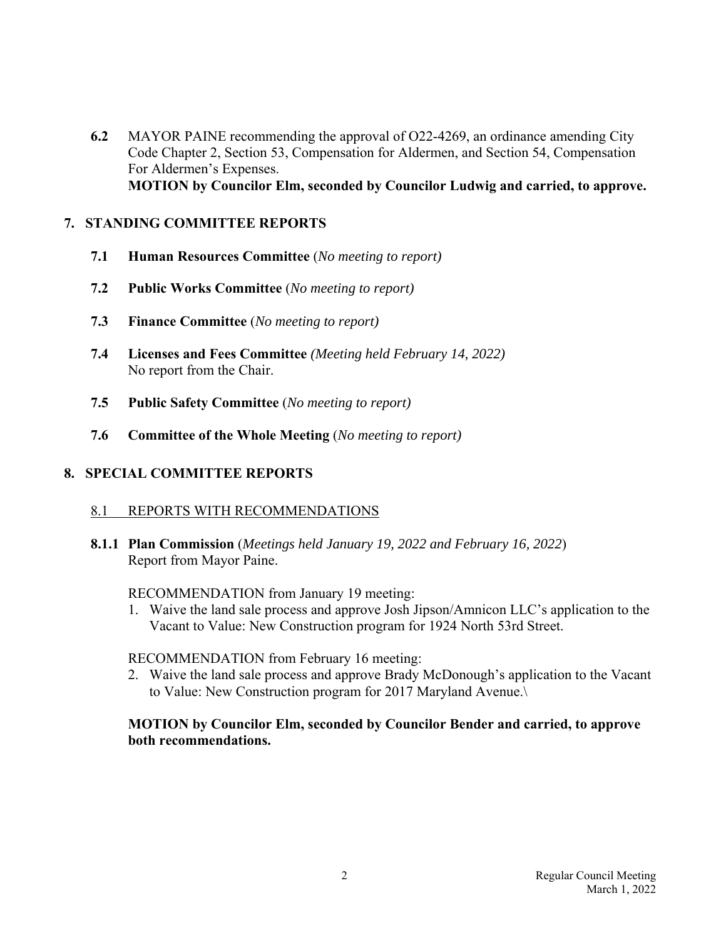**6.2** MAYOR PAINE recommending the approval of O22-4269, an ordinance amending City Code Chapter 2, Section 53, Compensation for Aldermen, and Section 54, Compensation For Aldermen's Expenses.  **MOTION by Councilor Elm, seconded by Councilor Ludwig and carried, to approve.**

### **7. STANDING COMMITTEE REPORTS**

- **7.1 Human Resources Committee** (*No meeting to report)*
- **7.2 Public Works Committee** (*No meeting to report)*
- **7.3 Finance Committee** (*No meeting to report)*
- **7.4 Licenses and Fees Committee** *(Meeting held February 14, 2022)*  No report from the Chair.
- **7.5 Public Safety Committee** (*No meeting to report)*
- **7.6 Committee of the Whole Meeting** (*No meeting to report)*

## **8. SPECIAL COMMITTEE REPORTS**

## 8.1 REPORTS WITH RECOMMENDATIONS

 **8.1.1 Plan Commission** (*Meetings held January 19, 2022 and February 16, 2022*) Report from Mayor Paine.

#### RECOMMENDATION from January 19 meeting:

 1. Waive the land sale process and approve Josh Jipson/Amnicon LLC's application to the Vacant to Value: New Construction program for 1924 North 53rd Street.

#### RECOMMENDATION from February 16 meeting:

 2. Waive the land sale process and approve Brady McDonough's application to the Vacant to Value: New Construction program for 2017 Maryland Avenue.\

### **MOTION by Councilor Elm, seconded by Councilor Bender and carried, to approve both recommendations.**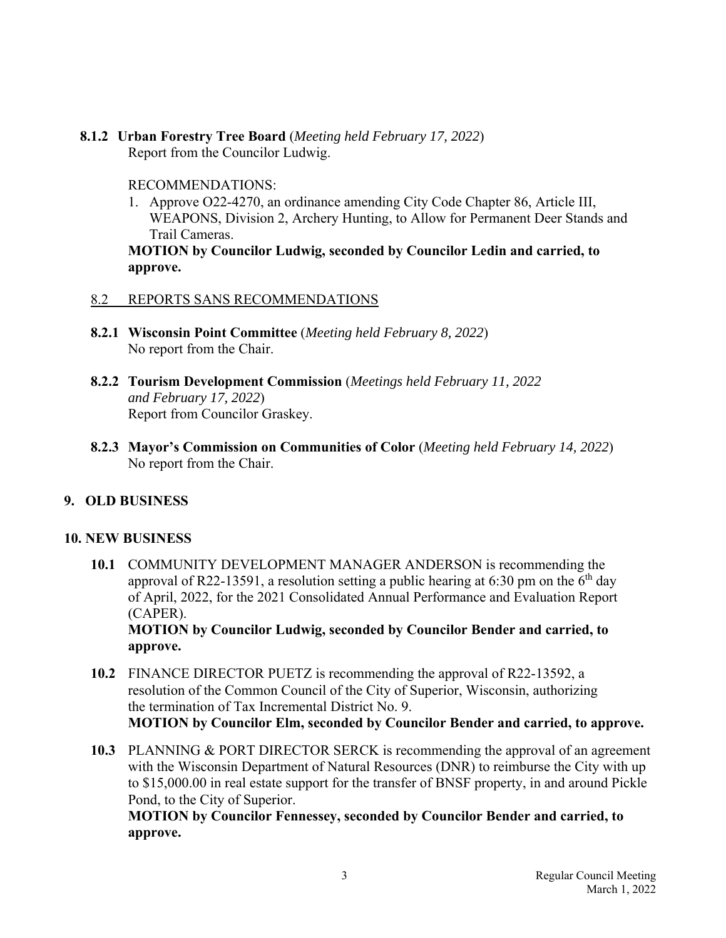**8.1.2 Urban Forestry Tree Board** (*Meeting held February 17, 2022*) Report from the Councilor Ludwig.

#### RECOMMENDATIONS:

 1. Approve O22-4270, an ordinance amending City Code Chapter 86, Article III, WEAPONS, Division 2, Archery Hunting, to Allow for Permanent Deer Stands and Trail Cameras.

 **MOTION by Councilor Ludwig, seconded by Councilor Ledin and carried, to approve.**

#### 8.2 REPORTS SANS RECOMMENDATIONS

- **8.2.1 Wisconsin Point Committee** (*Meeting held February 8, 2022*) No report from the Chair.
- **8.2.2 Tourism Development Commission** (*Meetings held February 11, 2022*  *and February 17, 2022*) Report from Councilor Graskey.
- **8.2.3 Mayor's Commission on Communities of Color** (*Meeting held February 14, 2022*) No report from the Chair.

#### **9. OLD BUSINESS**

#### **10. NEW BUSINESS**

 **10.1** COMMUNITY DEVELOPMENT MANAGER ANDERSON is recommending the approval of R22-13591, a resolution setting a public hearing at 6:30 pm on the  $6<sup>th</sup>$  day of April, 2022, for the 2021 Consolidated Annual Performance and Evaluation Report (CAPER). **MOTION by Councilor Ludwig, seconded by Councilor Bender and carried, to** 

**approve.**

- **10.2** FINANCE DIRECTOR PUETZ is recommending the approval of R22-13592, a resolution of the Common Council of the City of Superior, Wisconsin, authorizing the termination of Tax Incremental District No. 9. **MOTION by Councilor Elm, seconded by Councilor Bender and carried, to approve.**
- **10.3** PLANNING & PORT DIRECTOR SERCK is recommending the approval of an agreement with the Wisconsin Department of Natural Resources (DNR) to reimburse the City with up to \$15,000.00 in real estate support for the transfer of BNSF property, in and around Pickle Pond, to the City of Superior.

**MOTION by Councilor Fennessey, seconded by Councilor Bender and carried, to approve.**